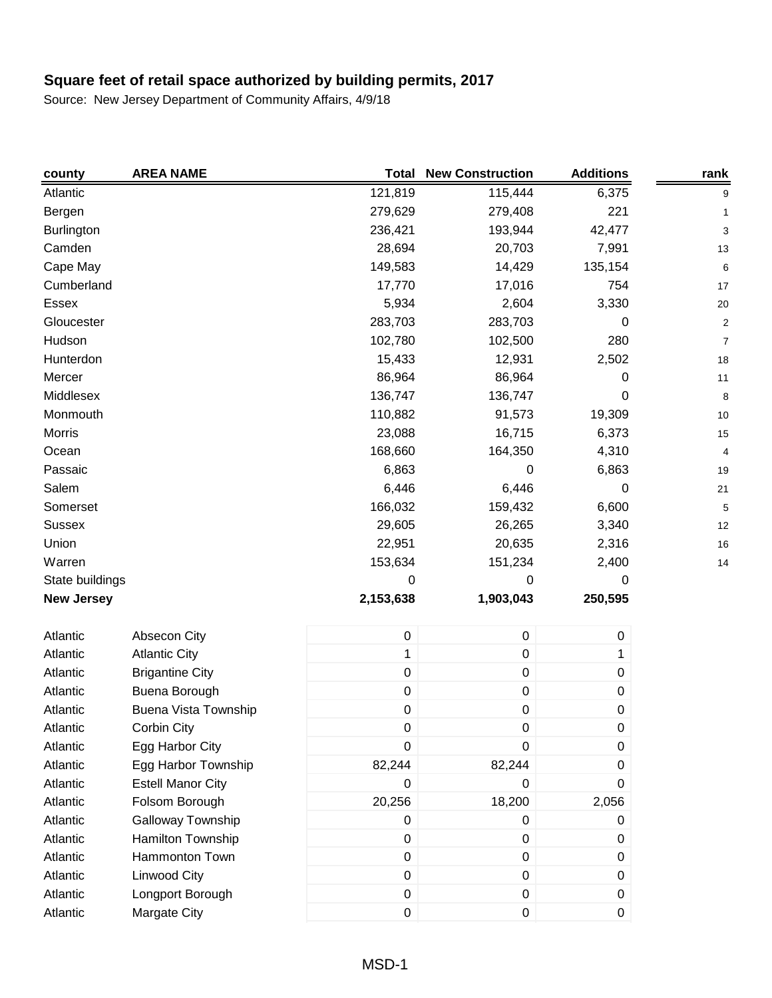| county            | <b>AREA NAME</b>            | <b>Total</b> | <b>New Construction</b> | <b>Additions</b> | rank                    |
|-------------------|-----------------------------|--------------|-------------------------|------------------|-------------------------|
| Atlantic          |                             | 121,819      | 115,444                 | 6,375            | 9                       |
| Bergen            |                             | 279,629      | 279,408                 | 221              | 1                       |
| <b>Burlington</b> |                             | 236,421      | 193,944                 | 42,477           | 3                       |
| Camden            |                             | 28,694       | 20,703                  | 7,991            | 13                      |
| Cape May          |                             | 149,583      | 14,429                  | 135,154          | 6                       |
| Cumberland        |                             | 17,770       | 17,016                  | 754              | 17                      |
| Essex             |                             | 5,934        | 2,604                   | 3,330            | 20                      |
| Gloucester        |                             | 283,703      | 283,703                 | 0                | $\overline{\mathbf{c}}$ |
| Hudson            |                             | 102,780      | 102,500                 | 280              | 7                       |
| Hunterdon         |                             | 15,433       | 12,931                  | 2,502            | 18                      |
| Mercer            |                             | 86,964       | 86,964                  | 0                | 11                      |
| Middlesex         |                             | 136,747      | 136,747                 | 0                | 8                       |
| Monmouth          |                             | 110,882      | 91,573                  | 19,309           | 10                      |
| Morris            |                             | 23,088       | 16,715                  | 6,373            | 15                      |
| Ocean             |                             | 168,660      | 164,350                 | 4,310            | 4                       |
| Passaic           |                             | 6,863        | 0                       | 6,863            | 19                      |
| Salem             |                             | 6,446        | 6,446                   | 0                | 21                      |
| Somerset          |                             | 166,032      | 159,432                 | 6,600            | 5                       |
| <b>Sussex</b>     |                             | 29,605       | 26,265                  | 3,340            | 12                      |
| Union             |                             | 22,951       | 20,635                  | 2,316            | 16                      |
| Warren            |                             | 153,634      | 151,234                 | 2,400            | 14                      |
| State buildings   |                             | 0            | 0                       | 0                |                         |
| <b>New Jersey</b> |                             | 2,153,638    | 1,903,043               | 250,595          |                         |
| Atlantic          | Absecon City                | $\mathbf 0$  | $\mathbf 0$             | $\pmb{0}$        |                         |
| Atlantic          | <b>Atlantic City</b>        | $\mathbf 1$  | $\pmb{0}$               | 1                |                         |
| Atlantic          | <b>Brigantine City</b>      | $\pmb{0}$    | $\mathbf 0$             | $\pmb{0}$        |                         |
| Atlantic          | Buena Borough               | $\pmb{0}$    | $\pmb{0}$               | 0                |                         |
| Atlantic          | <b>Buena Vista Township</b> | 0            | 0                       | 0                |                         |
| Atlantic          | Corbin City                 | $\pmb{0}$    | 0                       | $\mathbf 0$      |                         |
| Atlantic          | Egg Harbor City             | 0            | 0                       | 0                |                         |
| Atlantic          | Egg Harbor Township         | 82,244       | 82,244                  | 0                |                         |
| Atlantic          | <b>Estell Manor City</b>    | 0            | 0                       | 0                |                         |
| Atlantic          | Folsom Borough              | 20,256       | 18,200                  | 2,056            |                         |
| Atlantic          | Galloway Township           | $\pmb{0}$    | 0                       | 0                |                         |
| Atlantic          | Hamilton Township           | $\pmb{0}$    | 0                       | 0                |                         |
| Atlantic          | Hammonton Town              | $\pmb{0}$    | 0                       | 0                |                         |
| Atlantic          | <b>Linwood City</b>         | $\pmb{0}$    | $\pmb{0}$               | 0                |                         |
| Atlantic          | Longport Borough            | $\pmb{0}$    | 0                       | 0                |                         |
| Atlantic          | Margate City                | $\pmb{0}$    | 0                       | 0                |                         |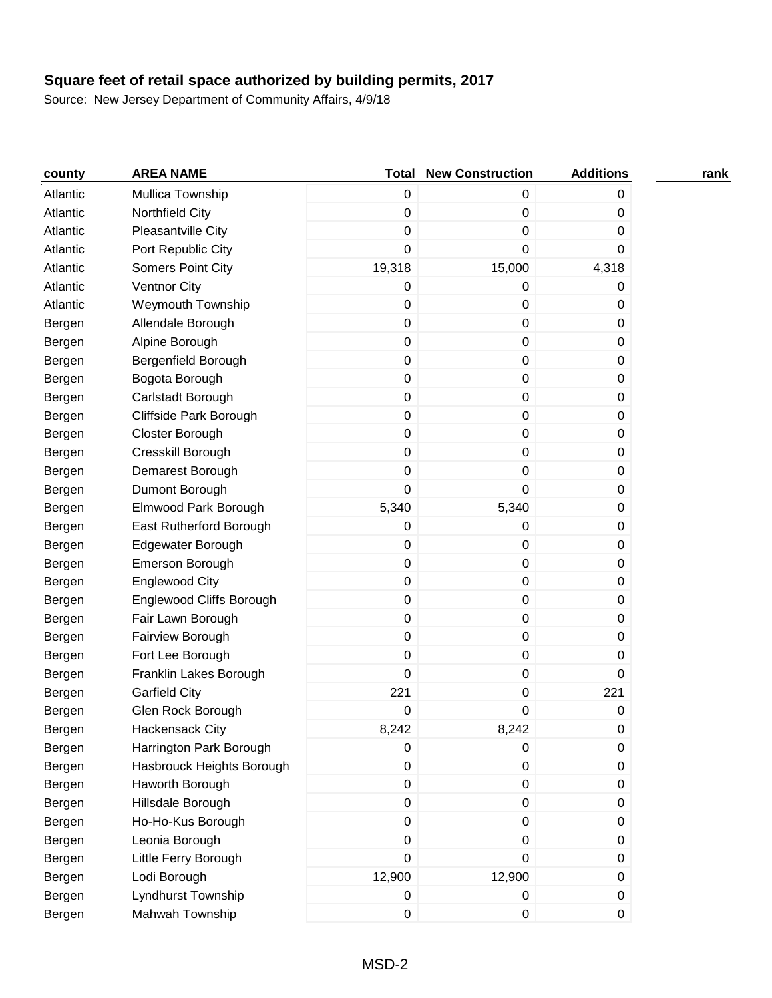| county   | <b>AREA NAME</b>           | Total            | <b>New Construction</b> | <b>Additions</b> | rank |
|----------|----------------------------|------------------|-------------------------|------------------|------|
| Atlantic | Mullica Township           | 0                | 0                       | 0                |      |
| Atlantic | Northfield City            | 0                | $\mathbf 0$             | 0                |      |
| Atlantic | Pleasantville City         | 0                | 0                       | 0                |      |
| Atlantic | Port Republic City         | 0                | 0                       | 0                |      |
| Atlantic | Somers Point City          | 19,318           | 15,000                  | 4,318            |      |
| Atlantic | <b>Ventnor City</b>        | 0                | 0                       | 0                |      |
| Atlantic | Weymouth Township          | 0                | 0                       | 0                |      |
| Bergen   | Allendale Borough          | 0                | 0                       | 0                |      |
| Bergen   | Alpine Borough             | $\mathbf 0$      | 0                       | 0                |      |
| Bergen   | <b>Bergenfield Borough</b> | 0                | 0                       | 0                |      |
| Bergen   | Bogota Borough             | $\boldsymbol{0}$ | $\mathbf 0$             | 0                |      |
| Bergen   | Carlstadt Borough          | 0                | $\pmb{0}$               | 0                |      |
| Bergen   | Cliffside Park Borough     | 0                | 0                       | 0                |      |
| Bergen   | Closter Borough            | 0                | 0                       | 0                |      |
| Bergen   | Cresskill Borough          | 0                | $\mathbf 0$             | 0                |      |
| Bergen   | Demarest Borough           | 0                | 0                       | 0                |      |
| Bergen   | Dumont Borough             | 0                | 0                       | 0                |      |
| Bergen   | Elmwood Park Borough       | 5,340            | 5,340                   | 0                |      |
| Bergen   | East Rutherford Borough    | 0                | 0                       | 0                |      |
| Bergen   | Edgewater Borough          | 0                | 0                       | 0                |      |
| Bergen   | Emerson Borough            | $\boldsymbol{0}$ | $\pmb{0}$               | 0                |      |
| Bergen   | <b>Englewood City</b>      | 0                | 0                       | 0                |      |
| Bergen   | Englewood Cliffs Borough   | 0                | $\mathbf 0$             | 0                |      |
| Bergen   | Fair Lawn Borough          | 0                | $\mathbf 0$             | 0                |      |
| Bergen   | Fairview Borough           | 0                | 0                       | 0                |      |
| Bergen   | Fort Lee Borough           | 0                | 0                       | 0                |      |
| Bergen   | Franklin Lakes Borough     | 0                | $\mathbf 0$             | 0                |      |
| Bergen   | <b>Garfield City</b>       | 221              | 0                       | 221              |      |
| Bergen   | Glen Rock Borough          | 0                | 0                       | 0                |      |
| Bergen   | Hackensack City            | 8,242            | 8,242                   | 0                |      |
| Bergen   | Harrington Park Borough    | 0                | $\mathbf 0$             | 0                |      |
| Bergen   | Hasbrouck Heights Borough  | $\boldsymbol{0}$ | $\pmb{0}$               | 0                |      |
| Bergen   | Haworth Borough            | 0                | 0                       | 0                |      |
| Bergen   | Hillsdale Borough          | $\mathbf 0$      | 0                       | 0                |      |
| Bergen   | Ho-Ho-Kus Borough          | 0                | 0                       | 0                |      |
| Bergen   | Leonia Borough             | 0                | 0                       | 0                |      |
| Bergen   | Little Ferry Borough       | 0                | $\pmb{0}$               | 0                |      |
| Bergen   | Lodi Borough               | 12,900           | 12,900                  | 0                |      |
| Bergen   | Lyndhurst Township         | 0                | 0                       | 0                |      |
| Bergen   | Mahwah Township            | 0                | 0                       | 0                |      |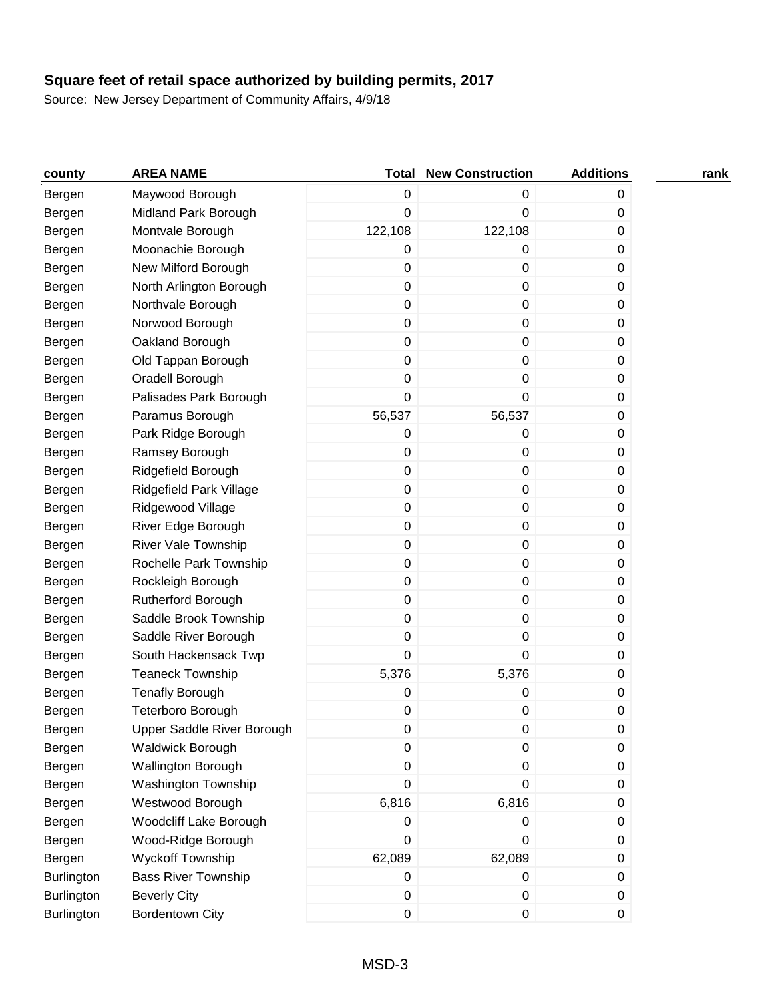| county            | <b>AREA NAME</b>           | Total            | <b>New Construction</b> | <b>Additions</b> | rank |
|-------------------|----------------------------|------------------|-------------------------|------------------|------|
| Bergen            | Maywood Borough            | 0                | 0                       | 0                |      |
| Bergen            | Midland Park Borough       | 0                | 0                       | 0                |      |
| Bergen            | Montvale Borough           | 122,108          | 122,108                 | 0                |      |
| Bergen            | Moonachie Borough          | 0                | 0                       | 0                |      |
| Bergen            | New Milford Borough        | 0                | $\pmb{0}$               | 0                |      |
| Bergen            | North Arlington Borough    | 0                | $\pmb{0}$               | 0                |      |
| Bergen            | Northvale Borough          | $\pmb{0}$        | $\pmb{0}$               | 0                |      |
| Bergen            | Norwood Borough            | $\pmb{0}$        | $\pmb{0}$               | 0                |      |
| Bergen            | Oakland Borough            | $\pmb{0}$        | $\pmb{0}$               | 0                |      |
| Bergen            | Old Tappan Borough         | $\pmb{0}$        | $\pmb{0}$               | 0                |      |
| Bergen            | Oradell Borough            | 0                | $\pmb{0}$               | 0                |      |
| Bergen            | Palisades Park Borough     | $\pmb{0}$        | 0                       | 0                |      |
| Bergen            | Paramus Borough            | 56,537           | 56,537                  | 0                |      |
| Bergen            | Park Ridge Borough         | 0                | $\pmb{0}$               | 0                |      |
| Bergen            | Ramsey Borough             | 0                | $\pmb{0}$               | 0                |      |
| Bergen            | Ridgefield Borough         | $\pmb{0}$        | $\pmb{0}$               | 0                |      |
| Bergen            | Ridgefield Park Village    | $\pmb{0}$        | $\pmb{0}$               | 0                |      |
| Bergen            | Ridgewood Village          | $\pmb{0}$        | $\pmb{0}$               | 0                |      |
| Bergen            | River Edge Borough         | $\pmb{0}$        | $\pmb{0}$               | 0                |      |
| Bergen            | <b>River Vale Township</b> | $\pmb{0}$        | $\pmb{0}$               | 0                |      |
| Bergen            | Rochelle Park Township     | 0                | $\pmb{0}$               | 0                |      |
| Bergen            | Rockleigh Borough          | 0                | $\pmb{0}$               | 0                |      |
| Bergen            | <b>Rutherford Borough</b>  | 0                | $\pmb{0}$               | 0                |      |
| Bergen            | Saddle Brook Township      | $\pmb{0}$        | $\pmb{0}$               | 0                |      |
| Bergen            | Saddle River Borough       | 0                | $\pmb{0}$               | 0                |      |
| Bergen            | South Hackensack Twp       | 0                | 0                       | 0                |      |
| Bergen            | <b>Teaneck Township</b>    | 5,376            | 5,376                   | 0                |      |
| Bergen            | <b>Tenafly Borough</b>     | 0                | 0                       | 0                |      |
| Bergen            | Teterboro Borough          | 0                | 0                       | 0                |      |
| Bergen            | Upper Saddle River Borough | 0                | 0                       | 0                |      |
| Bergen            | Waldwick Borough           | $\pmb{0}$        | $\pmb{0}$               | 0                |      |
| Bergen            | Wallington Borough         | $\boldsymbol{0}$ | $\pmb{0}$               | 0                |      |
| Bergen            | Washington Township        | 0                | $\mathbf 0$             | 0                |      |
| Bergen            | Westwood Borough           | 6,816            | 6,816                   | 0                |      |
| Bergen            | Woodcliff Lake Borough     | $\pmb{0}$        | 0                       | 0                |      |
| Bergen            | Wood-Ridge Borough         | $\pmb{0}$        | $\mathbf 0$             | 0                |      |
| Bergen            | Wyckoff Township           | 62,089           | 62,089                  | 0                |      |
| Burlington        | <b>Bass River Township</b> | $\mathbf 0$      | 0                       | 0                |      |
| <b>Burlington</b> | <b>Beverly City</b>        | $\pmb{0}$        | $\pmb{0}$               | 0                |      |
| <b>Burlington</b> | <b>Bordentown City</b>     | 0                | $\pmb{0}$               | 0                |      |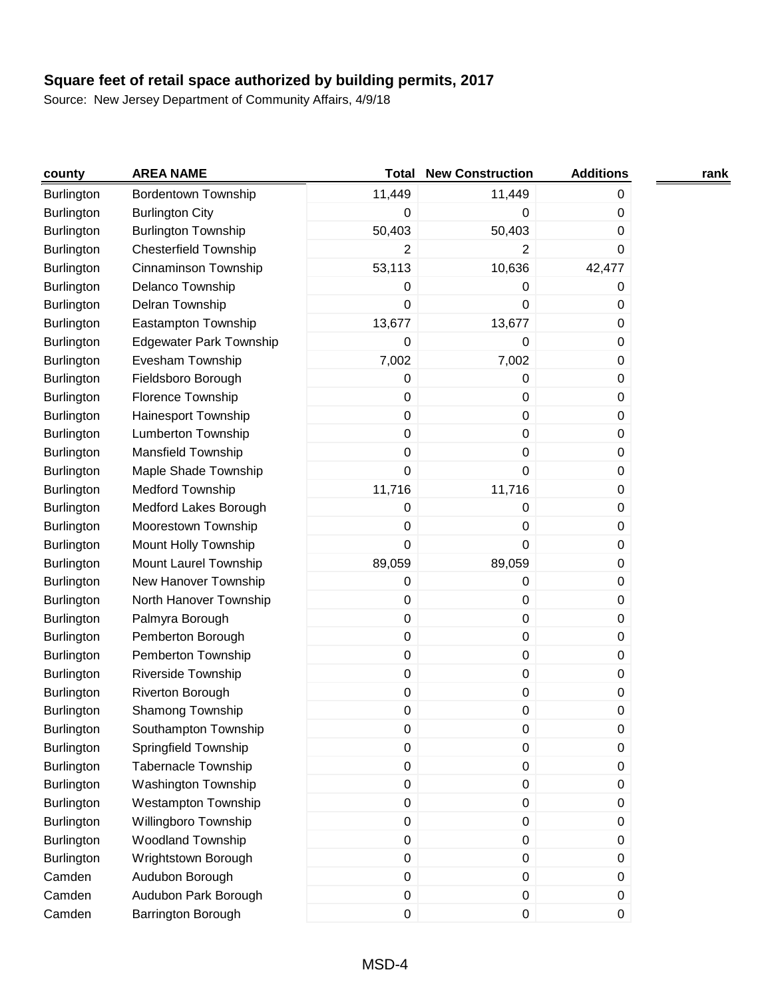| county            | <b>AREA NAME</b>               | Total            | <b>New Construction</b> | <b>Additions</b> | rank |
|-------------------|--------------------------------|------------------|-------------------------|------------------|------|
| Burlington        | <b>Bordentown Township</b>     | 11,449           | 11,449                  | 0                |      |
| Burlington        | <b>Burlington City</b>         | 0                | 0                       | 0                |      |
| Burlington        | <b>Burlington Township</b>     | 50,403           | 50,403                  | 0                |      |
| Burlington        | <b>Chesterfield Township</b>   | $\overline{2}$   | 2                       | 0                |      |
| <b>Burlington</b> | Cinnaminson Township           | 53,113           | 10,636                  | 42,477           |      |
| Burlington        | Delanco Township               | 0                | 0                       | 0                |      |
| Burlington        | Delran Township                | 0                | 0                       | 0                |      |
| Burlington        | Eastampton Township            | 13,677           | 13,677                  | 0                |      |
| <b>Burlington</b> | <b>Edgewater Park Township</b> | 0                | 0                       | 0                |      |
| <b>Burlington</b> | Evesham Township               | 7,002            | 7,002                   | 0                |      |
| Burlington        | Fieldsboro Borough             | 0                | 0                       | 0                |      |
| Burlington        | Florence Township              | 0                | 0                       | 0                |      |
| Burlington        | Hainesport Township            | 0                | 0                       | 0                |      |
| Burlington        | Lumberton Township             | 0                | 0                       | 0                |      |
| <b>Burlington</b> | Mansfield Township             | 0                | 0                       | 0                |      |
| <b>Burlington</b> | Maple Shade Township           | 0                | 0                       | 0                |      |
| Burlington        | <b>Medford Township</b>        | 11,716           | 11,716                  | 0                |      |
| Burlington        | Medford Lakes Borough          | 0                | 0                       | 0                |      |
| Burlington        | Moorestown Township            | 0                | 0                       | 0                |      |
| Burlington        | Mount Holly Township           | 0                | 0                       | 0                |      |
| Burlington        | Mount Laurel Township          | 89,059           | 89,059                  | 0                |      |
| <b>Burlington</b> | New Hanover Township           | 0                | 0                       | 0                |      |
| Burlington        | North Hanover Township         | 0                | 0                       | 0                |      |
| <b>Burlington</b> | Palmyra Borough                | 0                | 0                       | 0                |      |
| <b>Burlington</b> | Pemberton Borough              | 0                | 0                       | 0                |      |
| <b>Burlington</b> | Pemberton Township             | 0                | 0                       | 0                |      |
| Burlington        | <b>Riverside Township</b>      | 0                | 0                       | 0                |      |
| Burlington        | Riverton Borough               | 0                | 0                       | 0                |      |
| Burlington        | Shamong Township               | 0                | 0                       | 0                |      |
| Burlington        | Southampton Township           | 0                | 0                       | 0                |      |
| <b>Burlington</b> | Springfield Township           | 0                | 0                       | 0                |      |
| <b>Burlington</b> | <b>Tabernacle Township</b>     | $\boldsymbol{0}$ | $\pmb{0}$               | 0                |      |
| <b>Burlington</b> | <b>Washington Township</b>     | 0                | $\pmb{0}$               | 0                |      |
| Burlington        | <b>Westampton Township</b>     | $\boldsymbol{0}$ | $\pmb{0}$               | 0                |      |
| <b>Burlington</b> | Willingboro Township           | $\pmb{0}$        | $\pmb{0}$               | 0                |      |
| Burlington        | Woodland Township              | $\boldsymbol{0}$ | $\pmb{0}$               | 0                |      |
| Burlington        | Wrightstown Borough            | 0                | $\pmb{0}$               | $\boldsymbol{0}$ |      |
| Camden            | Audubon Borough                | $\mathsf 0$      | $\pmb{0}$               | $\boldsymbol{0}$ |      |
| Camden            | Audubon Park Borough           | $\mathsf 0$      | $\pmb{0}$               | 0                |      |
| Camden            | Barrington Borough             | $\mathsf 0$      | $\pmb{0}$               | $\boldsymbol{0}$ |      |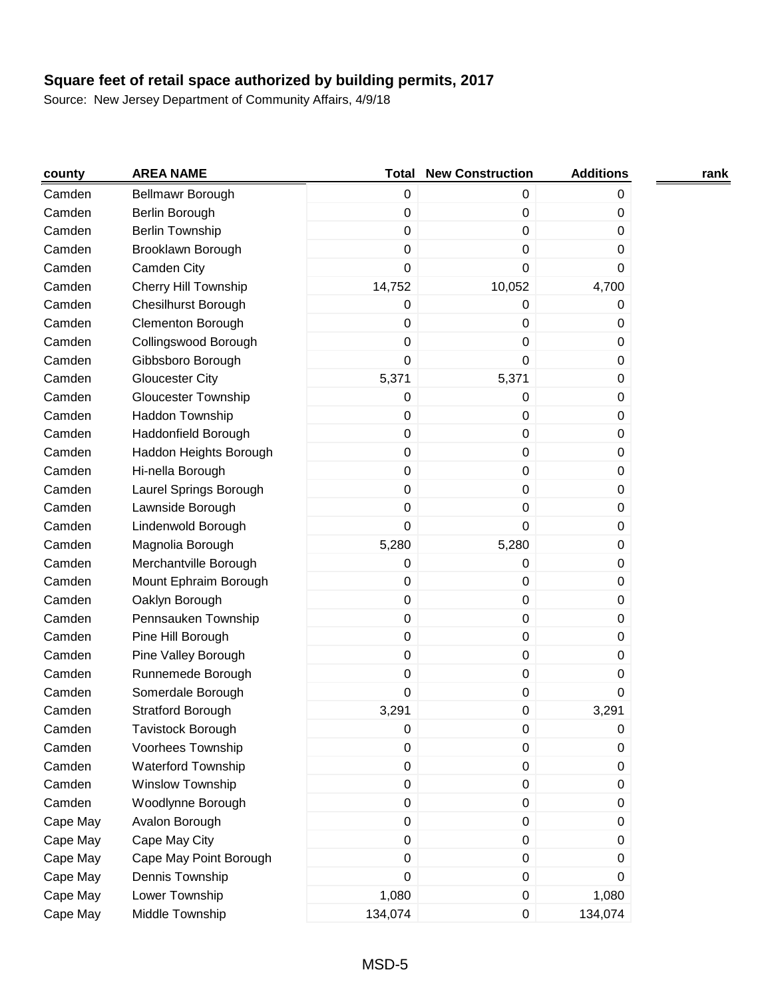| county   | <b>AREA NAME</b>            | <b>Total</b>     | <b>New Construction</b> | <b>Additions</b> | rank |
|----------|-----------------------------|------------------|-------------------------|------------------|------|
| Camden   | Bellmawr Borough            | $\boldsymbol{0}$ | $\mathbf 0$             | 0                |      |
| Camden   | Berlin Borough              | $\boldsymbol{0}$ | $\pmb{0}$               | 0                |      |
| Camden   | <b>Berlin Township</b>      | $\pmb{0}$        | 0                       | 0                |      |
| Camden   | Brooklawn Borough           | 0                | 0                       | $\Omega$         |      |
| Camden   | Camden City                 | $\mathbf 0$      | 0                       | $\Omega$         |      |
| Camden   | <b>Cherry Hill Township</b> | 14,752           | 10,052                  | 4,700            |      |
| Camden   | Chesilhurst Borough         | 0                | 0                       | 0                |      |
| Camden   | Clementon Borough           | $\mathbf 0$      | 0                       | 0                |      |
| Camden   | Collingswood Borough        | $\mathbf 0$      | 0                       | 0                |      |
| Camden   | Gibbsboro Borough           | $\boldsymbol{0}$ | 0                       | 0                |      |
| Camden   | <b>Gloucester City</b>      | 5,371            | 5,371                   | 0                |      |
| Camden   | <b>Gloucester Township</b>  | $\mathbf 0$      | 0                       | 0                |      |
| Camden   | Haddon Township             | 0                | 0                       | 0                |      |
| Camden   | Haddonfield Borough         | 0                | 0                       | 0                |      |
| Camden   | Haddon Heights Borough      | $\boldsymbol{0}$ | $\pmb{0}$               | 0                |      |
| Camden   | Hi-nella Borough            | 0                | $\pmb{0}$               | 0                |      |
| Camden   | Laurel Springs Borough      | $\boldsymbol{0}$ | 0                       | 0                |      |
| Camden   | Lawnside Borough            | $\mathbf 0$      | $\mathbf 0$             | 0                |      |
| Camden   | Lindenwold Borough          | $\boldsymbol{0}$ | 0                       | 0                |      |
| Camden   | Magnolia Borough            | 5,280            | 5,280                   | 0                |      |
| Camden   | Merchantville Borough       | $\mathbf 0$      | 0                       | 0                |      |
| Camden   | Mount Ephraim Borough       | 0                | 0                       | 0                |      |
| Camden   | Oaklyn Borough              | $\mathbf 0$      | 0                       | 0                |      |
| Camden   | Pennsauken Township         | $\mathbf 0$      | $\pmb{0}$               | 0                |      |
| Camden   | Pine Hill Borough           | $\mathbf 0$      | 0                       | $\Omega$         |      |
| Camden   | Pine Valley Borough         | $\boldsymbol{0}$ | 0                       | 0                |      |
| Camden   | Runnemede Borough           | $\mathbf 0$      | $\pmb{0}$               | $\Omega$         |      |
| Camden   | Somerdale Borough           | $\boldsymbol{0}$ | $\pmb{0}$               | 0                |      |
| Camden   | <b>Stratford Borough</b>    | 3,291            | 0                       | 3,291            |      |
| Camden   | <b>Tavistock Borough</b>    | 0                | 0                       | 0                |      |
| Camden   | Voorhees Township           | $\mathbf 0$      | 0                       | 0                |      |
| Camden   | Waterford Township          | $\boldsymbol{0}$ | 0                       | $\pmb{0}$        |      |
| Camden   | Winslow Township            | $\boldsymbol{0}$ | $\pmb{0}$               | 0                |      |
| Camden   | Woodlynne Borough           | $\boldsymbol{0}$ | $\pmb{0}$               | 0                |      |
| Cape May | Avalon Borough              | $\boldsymbol{0}$ | $\pmb{0}$               | 0                |      |
| Cape May | Cape May City               | $\boldsymbol{0}$ | $\pmb{0}$               | 0                |      |
| Cape May | Cape May Point Borough      | 0                | $\pmb{0}$               | 0                |      |
| Cape May | Dennis Township             | 0                | $\pmb{0}$               | 0                |      |
| Cape May | Lower Township              | 1,080            | $\pmb{0}$               | 1,080            |      |
| Cape May | Middle Township             | 134,074          | 0                       | 134,074          |      |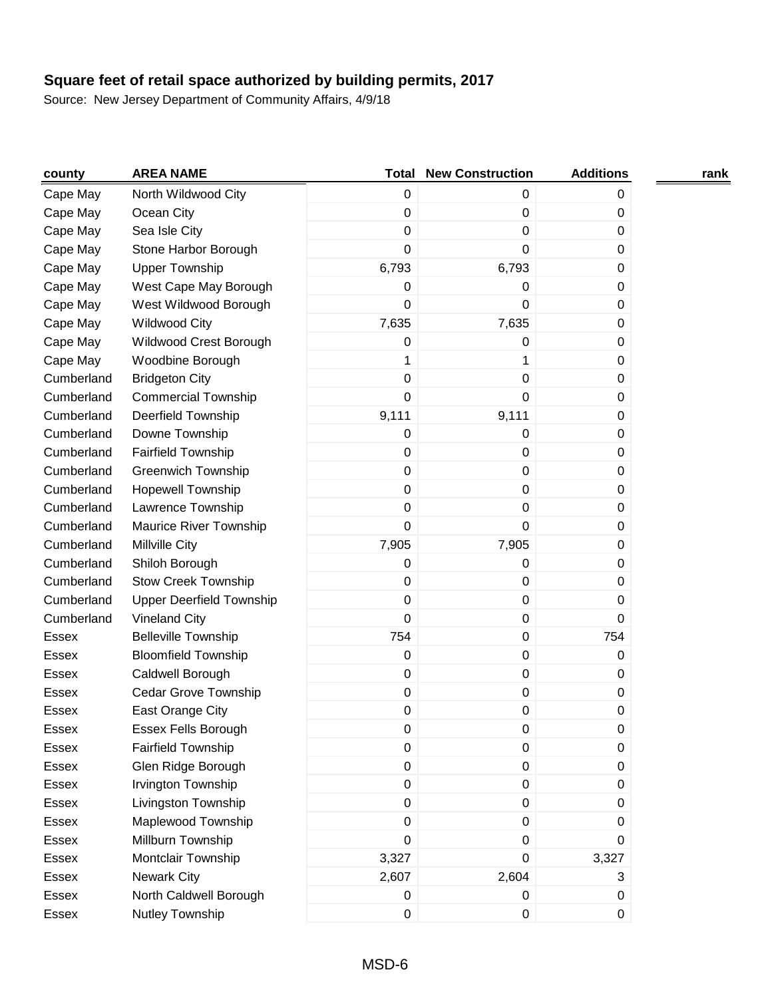| county       | <b>AREA NAME</b>                | Total            | <b>New Construction</b> | <b>Additions</b> | rank |
|--------------|---------------------------------|------------------|-------------------------|------------------|------|
| Cape May     | North Wildwood City             | $\pmb{0}$        | 0                       | 0                |      |
| Cape May     | Ocean City                      | 0                | 0                       | 0                |      |
| Cape May     | Sea Isle City                   | 0                | 0                       | 0                |      |
| Cape May     | Stone Harbor Borough            | $\mathbf 0$      | 0                       | 0                |      |
| Cape May     | <b>Upper Township</b>           | 6,793            | 6,793                   | 0                |      |
| Cape May     | West Cape May Borough           | 0                | 0                       | 0                |      |
| Cape May     | West Wildwood Borough           | 0                | 0                       | 0                |      |
| Cape May     | Wildwood City                   | 7,635            | 7,635                   | 0                |      |
| Cape May     | Wildwood Crest Borough          | 0                | 0                       | 0                |      |
| Cape May     | Woodbine Borough                | 1                | 1                       | 0                |      |
| Cumberland   | <b>Bridgeton City</b>           | 0                | 0                       | 0                |      |
| Cumberland   | <b>Commercial Township</b>      | 0                | 0                       | 0                |      |
| Cumberland   | Deerfield Township              | 9,111            | 9,111                   | 0                |      |
| Cumberland   | Downe Township                  | 0                | 0                       | 0                |      |
| Cumberland   | <b>Fairfield Township</b>       | 0                | $\pmb{0}$               | 0                |      |
| Cumberland   | <b>Greenwich Township</b>       | $\pmb{0}$        | 0                       | 0                |      |
| Cumberland   | <b>Hopewell Township</b>        | $\boldsymbol{0}$ | 0                       | 0                |      |
| Cumberland   | Lawrence Township               | 0                | 0                       | 0                |      |
| Cumberland   | Maurice River Township          | 0                | 0                       | 0                |      |
| Cumberland   | Millville City                  | 7,905            | 7,905                   | 0                |      |
| Cumberland   | Shiloh Borough                  | 0                | 0                       | 0                |      |
| Cumberland   | <b>Stow Creek Township</b>      | 0                | 0                       | 0                |      |
| Cumberland   | <b>Upper Deerfield Township</b> | $\pmb{0}$        | $\pmb{0}$               | 0                |      |
| Cumberland   | <b>Vineland City</b>            | $\mathbf 0$      | 0                       | 0                |      |
| <b>Essex</b> | <b>Belleville Township</b>      | 754              | 0                       | 754              |      |
| Essex        | <b>Bloomfield Township</b>      | $\boldsymbol{0}$ | 0                       | 0                |      |
| Essex        | Caldwell Borough                | 0                | $\mathbf 0$             | 0                |      |
| Essex        | <b>Cedar Grove Township</b>     | $\pmb{0}$        | 0                       | 0                |      |
| Essex        | East Orange City                | 0                | 0                       | 0                |      |
| Essex        | Essex Fells Borough             | 0                | 0                       | 0                |      |
| Essex        | <b>Fairfield Township</b>       | $\pmb{0}$        | $\pmb{0}$               | 0                |      |
| Essex        | Glen Ridge Borough              | $\pmb{0}$        | $\boldsymbol{0}$        | 0                |      |
| Essex        | Irvington Township              | $\pmb{0}$        | $\mathbf 0$             | 0                |      |
| Essex        | Livingston Township             | $\pmb{0}$        | $\pmb{0}$               | 0                |      |
| Essex        | Maplewood Township              | $\pmb{0}$        | $\pmb{0}$               | 0                |      |
| Essex        | Millburn Township               | $\mathbf 0$      | $\mathbf 0$             | $\Omega$         |      |
| Essex        | Montclair Township              | 3,327            | 0                       | 3,327            |      |
| Essex        | <b>Newark City</b>              | 2,607            | 2,604                   | 3                |      |
| Essex        | North Caldwell Borough          | 0                | 0                       | 0                |      |
| Essex        | Nutley Township                 | $\pmb{0}$        | 0                       | 0                |      |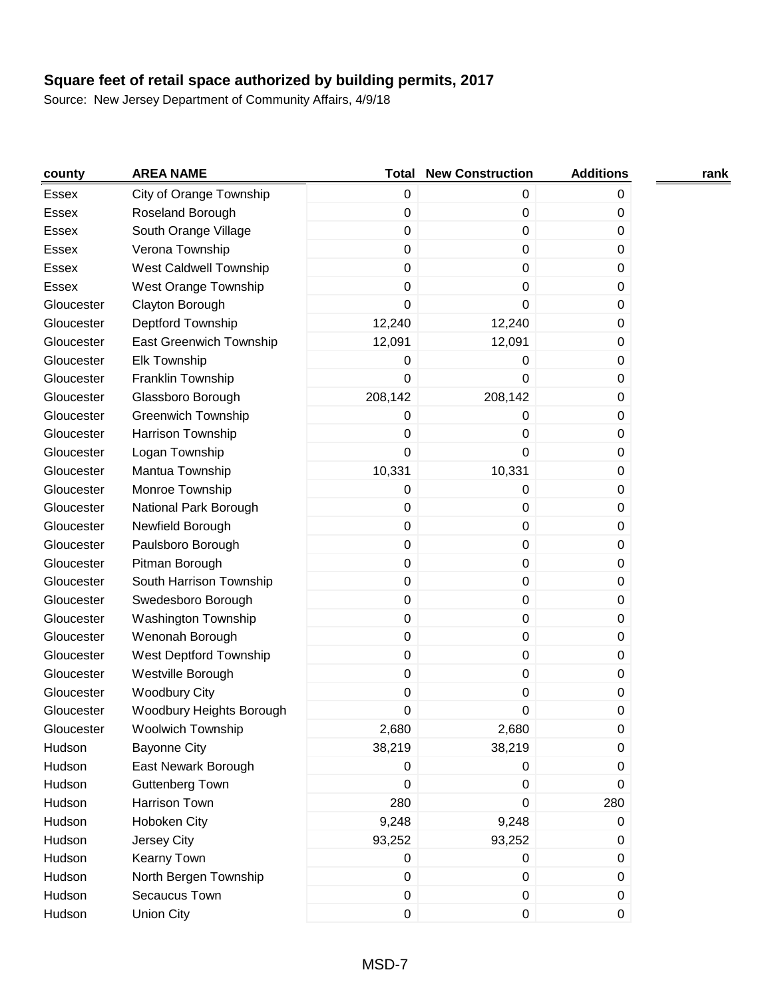| county       | <b>AREA NAME</b>           | <b>Total</b> | <b>New Construction</b> | <b>Additions</b> | rank |
|--------------|----------------------------|--------------|-------------------------|------------------|------|
| Essex        | City of Orange Township    | 0            | $\mathbf 0$             | 0                |      |
| <b>Essex</b> | Roseland Borough           | $\mathbf 0$  | 0                       | 0                |      |
| <b>Essex</b> | South Orange Village       | $\mathbf 0$  | 0                       | 0                |      |
| <b>Essex</b> | Verona Township            | $\mathbf 0$  | 0                       | 0                |      |
| <b>Essex</b> | West Caldwell Township     | $\pmb{0}$    | 0                       | 0                |      |
| Essex        | West Orange Township       | 0            | 0                       | 0                |      |
| Gloucester   | Clayton Borough            | $\mathbf 0$  | 0                       | 0                |      |
| Gloucester   | Deptford Township          | 12,240       | 12,240                  | 0                |      |
| Gloucester   | East Greenwich Township    | 12,091       | 12,091                  | 0                |      |
| Gloucester   | <b>Elk Township</b>        | 0            | 0                       | 0                |      |
| Gloucester   | Franklin Township          | 0            | 0                       | 0                |      |
| Gloucester   | Glassboro Borough          | 208,142      | 208,142                 | 0                |      |
| Gloucester   | <b>Greenwich Township</b>  | 0            | 0                       | 0                |      |
| Gloucester   | Harrison Township          | 0            | 0                       | 0                |      |
| Gloucester   | Logan Township             | 0            | 0                       | 0                |      |
| Gloucester   | Mantua Township            | 10,331       | 10,331                  | 0                |      |
| Gloucester   | Monroe Township            | 0            | 0                       | 0                |      |
| Gloucester   | National Park Borough      | 0            | 0                       | 0                |      |
| Gloucester   | Newfield Borough           | $\pmb{0}$    | 0                       | 0                |      |
| Gloucester   | Paulsboro Borough          | $\pmb{0}$    | 0                       | 0                |      |
| Gloucester   | Pitman Borough             | $\mathbf 0$  | 0                       | 0                |      |
| Gloucester   | South Harrison Township    | $\mathbf 0$  | 0                       | 0                |      |
| Gloucester   | Swedesboro Borough         | $\pmb{0}$    | 0                       | 0                |      |
| Gloucester   | <b>Washington Township</b> | $\mathbf 0$  | $\mathbf 0$             | 0                |      |
| Gloucester   | Wenonah Borough            | $\mathbf 0$  | 0                       | 0                |      |
| Gloucester   | West Deptford Township     | $\mathbf 0$  | 0                       | 0                |      |
| Gloucester   | Westville Borough          | $\mathbf 0$  | 0                       | 0                |      |
| Gloucester   | <b>Woodbury City</b>       | 0            | 0                       | 0                |      |
| Gloucester   | Woodbury Heights Borough   | 0            | 0                       | 0                |      |
| Gloucester   | <b>Woolwich Township</b>   | 2,680        | 2,680                   | $\pmb{0}$        |      |
| Hudson       | <b>Bayonne City</b>        | 38,219       | 38,219                  | 0                |      |
| Hudson       | East Newark Borough        | 0            | $\mathbf 0$             | 0                |      |
| Hudson       | Guttenberg Town            | $\mathbf 0$  | 0                       | 0                |      |
| Hudson       | Harrison Town              | 280          | 0                       | 280              |      |
| Hudson       | Hoboken City               | 9,248        | 9,248                   | 0                |      |
| Hudson       | Jersey City                | 93,252       | 93,252                  | 0                |      |
| Hudson       | Kearny Town                | $\mathbf 0$  | 0                       | 0                |      |
| Hudson       | North Bergen Township      | $\pmb{0}$    | $\mathbf 0$             | 0                |      |
| Hudson       | Secaucus Town              | $\pmb{0}$    | $\pmb{0}$               | $\mathbf 0$      |      |
| Hudson       | <b>Union City</b>          | $\pmb{0}$    | $\pmb{0}$               | 0                |      |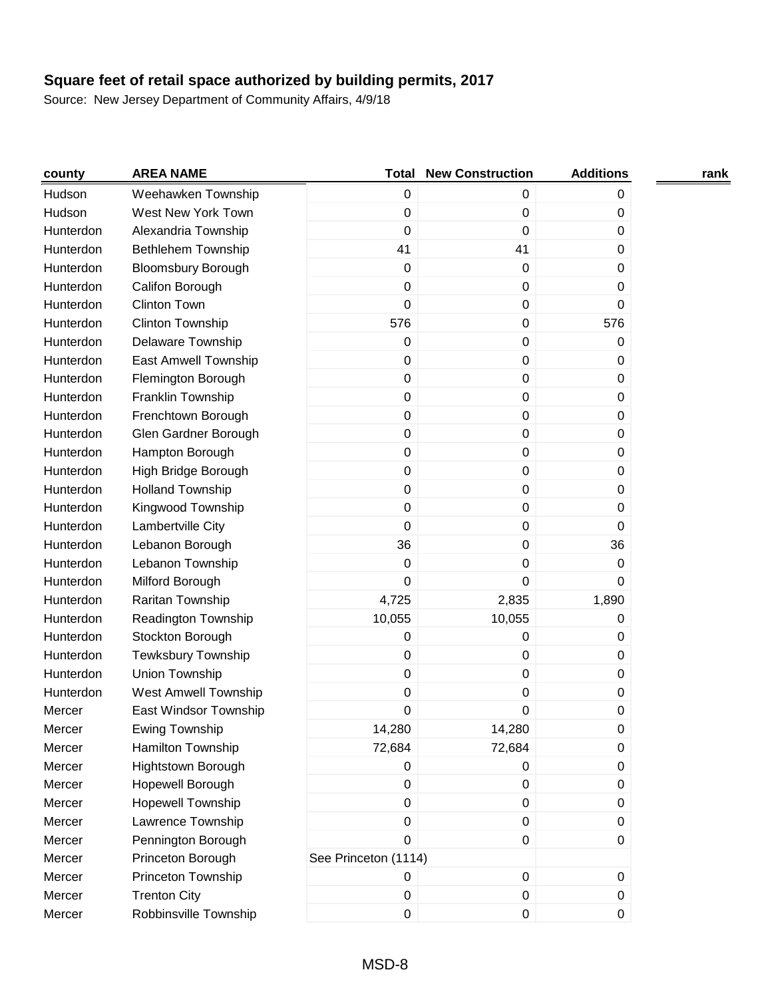| county    | <b>AREA NAME</b>            | Total                | <b>New Construction</b> | <b>Additions</b> | rank |
|-----------|-----------------------------|----------------------|-------------------------|------------------|------|
| Hudson    | Weehawken Township          | 0                    | 0                       | 0                |      |
| Hudson    | West New York Town          | 0                    | $\pmb{0}$               | 0                |      |
| Hunterdon | Alexandria Township         | $\mathbf 0$          | $\mathbf 0$             | 0                |      |
| Hunterdon | <b>Bethlehem Township</b>   | 41                   | 41                      | 0                |      |
| Hunterdon | <b>Bloomsbury Borough</b>   | $\boldsymbol{0}$     | 0                       | 0                |      |
| Hunterdon | Califon Borough             | $\boldsymbol{0}$     | 0                       | 0                |      |
| Hunterdon | <b>Clinton Town</b>         | 0                    | $\mathbf 0$             | 0                |      |
| Hunterdon | Clinton Township            | 576                  | $\mathbf 0$             | 576              |      |
| Hunterdon | Delaware Township           | 0                    | $\mathbf 0$             | 0                |      |
| Hunterdon | East Amwell Township        | 0                    | 0                       | 0                |      |
| Hunterdon | Flemington Borough          | $\pmb{0}$            | $\pmb{0}$               | 0                |      |
| Hunterdon | Franklin Township           | $\pmb{0}$            | $\pmb{0}$               | 0                |      |
| Hunterdon | Frenchtown Borough          | 0                    | $\pmb{0}$               | $\mathbf 0$      |      |
| Hunterdon | Glen Gardner Borough        | 0                    | $\pmb{0}$               | 0                |      |
| Hunterdon | Hampton Borough             | $\boldsymbol{0}$     | $\pmb{0}$               | 0                |      |
| Hunterdon | High Bridge Borough         | $\pmb{0}$            | $\mathbf 0$             | 0                |      |
| Hunterdon | <b>Holland Township</b>     | 0                    | $\mathbf 0$             | 0                |      |
| Hunterdon | Kingwood Township           | $\pmb{0}$            | $\mathbf 0$             | 0                |      |
| Hunterdon | Lambertville City           | $\pmb{0}$            | $\pmb{0}$               | 0                |      |
| Hunterdon | Lebanon Borough             | 36                   | $\pmb{0}$               | 36               |      |
| Hunterdon | Lebanon Township            | 0                    | 0                       | 0                |      |
| Hunterdon | Milford Borough             | 0                    | 0                       | 0                |      |
| Hunterdon | Raritan Township            | 4,725                | 2,835                   | 1,890            |      |
| Hunterdon | Readington Township         | 10,055               | 10,055                  | 0                |      |
| Hunterdon | Stockton Borough            | 0                    | $\mathbf 0$             | 0                |      |
| Hunterdon | <b>Tewksbury Township</b>   | 0                    | $\mathbf 0$             | 0                |      |
| Hunterdon | Union Township              | $\pmb{0}$            | $\pmb{0}$               | 0                |      |
| Hunterdon | <b>West Amwell Township</b> | 0                    | 0                       | 0                |      |
| Mercer    | East Windsor Township       | 0                    | 0                       | 0                |      |
| Mercer    | Ewing Township              | 14,280               | 14,280                  | 0                |      |
| Mercer    | Hamilton Township           | 72,684               | 72,684                  | 0                |      |
| Mercer    | Hightstown Borough          | 0                    | $\pmb{0}$               | $\pmb{0}$        |      |
| Mercer    | Hopewell Borough            | $\pmb{0}$            | $\pmb{0}$               | 0                |      |
| Mercer    | <b>Hopewell Township</b>    | $\pmb{0}$            | $\mathbf 0$             | 0                |      |
| Mercer    | Lawrence Township           | $\pmb{0}$            | 0                       | 0                |      |
| Mercer    | Pennington Borough          | $\pmb{0}$            | 0                       | 0                |      |
| Mercer    | Princeton Borough           | See Princeton (1114) |                         |                  |      |
| Mercer    | Princeton Township          | 0                    | $\pmb{0}$               | $\mathbf 0$      |      |
| Mercer    | <b>Trenton City</b>         | $\mathbf 0$          | $\pmb{0}$               | 0                |      |
| Mercer    | Robbinsville Township       | 0                    | $\pmb{0}$               | 0                |      |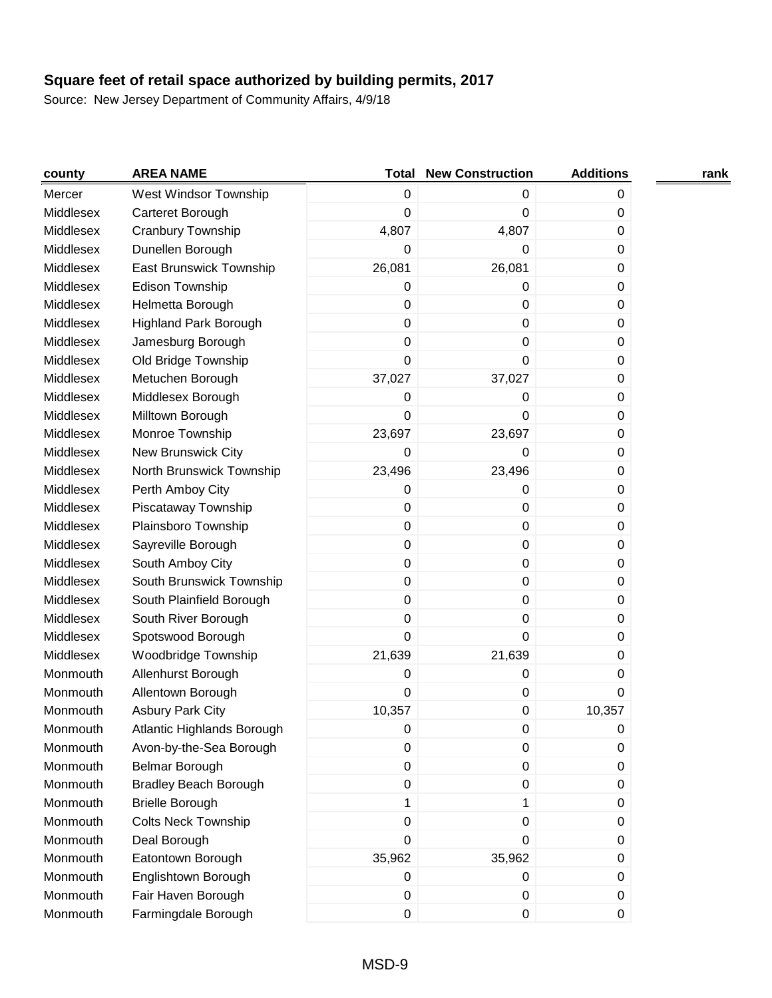| county    | <b>AREA NAME</b>             | <b>Total</b> | <b>New Construction</b> | <b>Additions</b> | rank |
|-----------|------------------------------|--------------|-------------------------|------------------|------|
| Mercer    | West Windsor Township        | 0            | 0                       | 0                |      |
| Middlesex | Carteret Borough             | 0            | 0                       | 0                |      |
| Middlesex | Cranbury Township            | 4,807        | 4,807                   | 0                |      |
| Middlesex | Dunellen Borough             | 0            | 0                       | 0                |      |
| Middlesex | East Brunswick Township      | 26,081       | 26,081                  | 0                |      |
| Middlesex | Edison Township              | 0            | 0                       | 0                |      |
| Middlesex | Helmetta Borough             | 0            | 0                       | 0                |      |
| Middlesex | <b>Highland Park Borough</b> | 0            | 0                       | 0                |      |
| Middlesex | Jamesburg Borough            | 0            | 0                       | 0                |      |
| Middlesex | Old Bridge Township          | 0            | 0                       | 0                |      |
| Middlesex | Metuchen Borough             | 37,027       | 37,027                  | 0                |      |
| Middlesex | Middlesex Borough            | 0            | 0                       | 0                |      |
| Middlesex | Milltown Borough             | 0            | 0                       | 0                |      |
| Middlesex | Monroe Township              | 23,697       | 23,697                  | 0                |      |
| Middlesex | New Brunswick City           | 0            | 0                       | 0                |      |
| Middlesex | North Brunswick Township     | 23,496       | 23,496                  | 0                |      |
| Middlesex | Perth Amboy City             | 0            | 0                       | 0                |      |
| Middlesex | Piscataway Township          | 0            | 0                       | 0                |      |
| Middlesex | Plainsboro Township          | 0            | 0                       | 0                |      |
| Middlesex | Sayreville Borough           | $\pmb{0}$    | 0                       | 0                |      |
| Middlesex | South Amboy City             | $\pmb{0}$    | 0                       | 0                |      |
| Middlesex | South Brunswick Township     | $\pmb{0}$    | 0                       | 0                |      |
| Middlesex | South Plainfield Borough     | 0            | 0                       | 0                |      |
| Middlesex | South River Borough          | 0            | 0                       | 0                |      |
| Middlesex | Spotswood Borough            | 0            | 0                       | $\Omega$         |      |
| Middlesex | Woodbridge Township          | 21,639       | 21,639                  | 0                |      |
| Monmouth  | Allenhurst Borough           | 0            | 0                       | 0                |      |
| Monmouth  | Allentown Borough            | 0            | 0                       | 0                |      |
| Monmouth  | <b>Asbury Park City</b>      | 10,357       | 0                       | 10,357           |      |
| Monmouth  | Atlantic Highlands Borough   | 0            | 0                       | 0                |      |
| Monmouth  | Avon-by-the-Sea Borough      | $\pmb{0}$    | 0                       | 0                |      |
| Monmouth  | Belmar Borough               | 0            | 0                       | $\mathbf 0$      |      |
| Monmouth  | <b>Bradley Beach Borough</b> | $\pmb{0}$    | 0                       | 0                |      |
| Monmouth  | <b>Brielle Borough</b>       | 1            | 1                       | 0                |      |
| Monmouth  | <b>Colts Neck Township</b>   | $\pmb{0}$    | 0                       | 0                |      |
| Monmouth  | Deal Borough                 | $\pmb{0}$    | 0                       | 0                |      |
| Monmouth  | Eatontown Borough            | 35,962       | 35,962                  | 0                |      |
| Monmouth  | Englishtown Borough          | 0            | 0                       | 0                |      |
| Monmouth  | Fair Haven Borough           | $\,0\,$      | 0                       | 0                |      |
| Monmouth  | Farmingdale Borough          | $\pmb{0}$    | 0                       | 0                |      |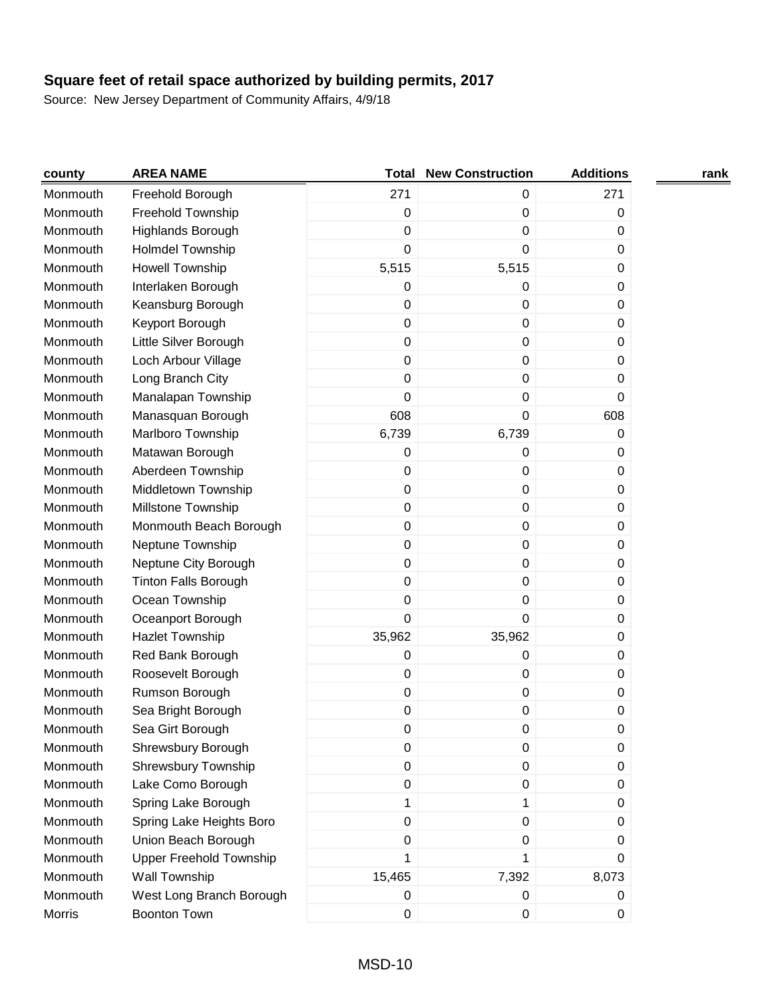| county   | <b>AREA NAME</b>               | <b>Total</b>     | <b>New Construction</b> | <b>Additions</b> | rank |
|----------|--------------------------------|------------------|-------------------------|------------------|------|
| Monmouth | Freehold Borough               | 271              | 0                       | 271              |      |
| Monmouth | Freehold Township              | $\mathbf 0$      | $\mathbf 0$             | 0                |      |
| Monmouth | Highlands Borough              | $\mathbf 0$      | 0                       | 0                |      |
| Monmouth | <b>Holmdel Township</b>        | $\mathbf 0$      | 0                       | 0                |      |
| Monmouth | <b>Howell Township</b>         | 5,515            | 5,515                   | 0                |      |
| Monmouth | Interlaken Borough             | $\boldsymbol{0}$ | 0                       | 0                |      |
| Monmouth | Keansburg Borough              | 0                | 0                       | 0                |      |
| Monmouth | Keyport Borough                | $\mathbf 0$      | 0                       | 0                |      |
| Monmouth | Little Silver Borough          | $\mathbf 0$      | $\mathbf 0$             | 0                |      |
| Monmouth | Loch Arbour Village            | $\boldsymbol{0}$ | $\pmb{0}$               | 0                |      |
| Monmouth | Long Branch City               | $\mathbf 0$      | $\mathbf 0$             | 0                |      |
| Monmouth | Manalapan Township             | $\mathbf 0$      | 0                       | 0                |      |
| Monmouth | Manasquan Borough              | 608              | 0                       | 608              |      |
| Monmouth | Marlboro Township              | 6,739            | 6,739                   | 0                |      |
| Monmouth | Matawan Borough                | $\boldsymbol{0}$ | $\mathbf 0$             | 0                |      |
| Monmouth | Aberdeen Township              | $\boldsymbol{0}$ | $\boldsymbol{0}$        | 0                |      |
| Monmouth | Middletown Township            | $\mathbf 0$      | 0                       | 0                |      |
| Monmouth | Millstone Township             | $\mathbf 0$      | $\mathbf 0$             | 0                |      |
| Monmouth | Monmouth Beach Borough         | $\boldsymbol{0}$ | $\pmb{0}$               | 0                |      |
| Monmouth | Neptune Township               | $\boldsymbol{0}$ | $\pmb{0}$               | 0                |      |
| Monmouth | Neptune City Borough           | $\boldsymbol{0}$ | 0                       | 0                |      |
| Monmouth | <b>Tinton Falls Borough</b>    | 0                | 0                       | 0                |      |
| Monmouth | Ocean Township                 | 0                | 0                       | 0                |      |
| Monmouth | Oceanport Borough              | $\mathbf 0$      | 0                       | 0                |      |
| Monmouth | Hazlet Township                | 35,962           | 35,962                  | 0                |      |
| Monmouth | Red Bank Borough               | $\boldsymbol{0}$ | 0                       | 0                |      |
| Monmouth | Roosevelt Borough              | $\mathbf 0$      | $\pmb{0}$               | 0                |      |
| Monmouth | Rumson Borough                 | $\boldsymbol{0}$ | $\pmb{0}$               | 0                |      |
| Monmouth | Sea Bright Borough             | $\boldsymbol{0}$ | 0                       | 0                |      |
| Monmouth | Sea Girt Borough               | 0                | 0                       | 0                |      |
| Monmouth | Shrewsbury Borough             | $\boldsymbol{0}$ | $\pmb{0}$               | 0                |      |
| Monmouth | Shrewsbury Township            | 0                | $\pmb{0}$               | 0                |      |
| Monmouth | Lake Como Borough              | 0                | 0                       | 0                |      |
| Monmouth | Spring Lake Borough            | 1                | 1                       | 0                |      |
| Monmouth | Spring Lake Heights Boro       | $\mathbf 0$      | $\pmb{0}$               | 0                |      |
| Monmouth | Union Beach Borough            | $\mathbf 0$      | $\pmb{0}$               | 0                |      |
| Monmouth | <b>Upper Freehold Township</b> | 1                | 1                       | 0                |      |
| Monmouth | Wall Township                  | 15,465           | 7,392                   | 8,073            |      |
| Monmouth | West Long Branch Borough       | $\pmb{0}$        | 0                       | 0                |      |
| Morris   | <b>Boonton Town</b>            | 0                | 0                       | 0                |      |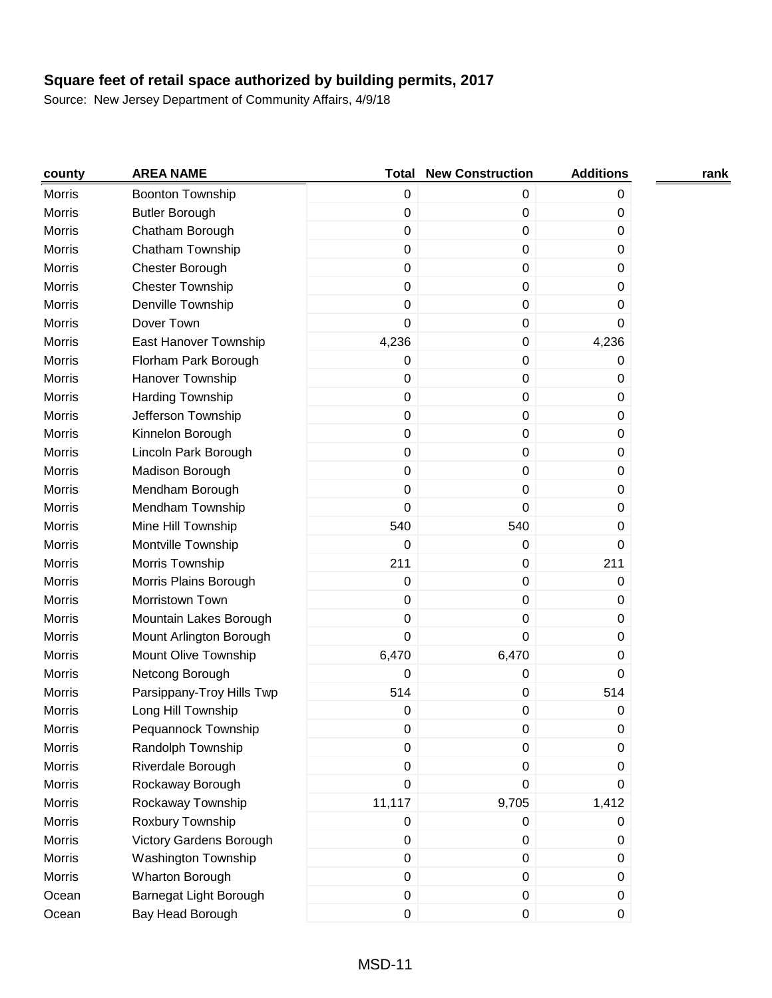| county        | <b>AREA NAME</b>           | Total       | <b>New Construction</b> | <b>Additions</b> | rank |
|---------------|----------------------------|-------------|-------------------------|------------------|------|
| <b>Morris</b> | <b>Boonton Township</b>    | $\pmb{0}$   | 0                       | 0                |      |
| <b>Morris</b> | <b>Butler Borough</b>      | $\mathbf 0$ | 0                       | 0                |      |
| <b>Morris</b> | Chatham Borough            | $\pmb{0}$   | 0                       | 0                |      |
| <b>Morris</b> | Chatham Township           | $\mathbf 0$ | 0                       | 0                |      |
| <b>Morris</b> | Chester Borough            | $\pmb{0}$   | 0                       | 0                |      |
| Morris        | <b>Chester Township</b>    | $\mathbf 0$ | 0                       | 0                |      |
| <b>Morris</b> | Denville Township          | $\mathbf 0$ | 0                       | 0                |      |
| <b>Morris</b> | Dover Town                 | 0           | 0                       | 0                |      |
| <b>Morris</b> | East Hanover Township      | 4,236       | 0                       | 4,236            |      |
| <b>Morris</b> | Florham Park Borough       | $\pmb{0}$   | 0                       | 0                |      |
| <b>Morris</b> | Hanover Township           | $\pmb{0}$   | $\pmb{0}$               | 0                |      |
| Morris        | Harding Township           | $\mathbf 0$ | 0                       | 0                |      |
| <b>Morris</b> | Jefferson Township         | $\mathbf 0$ | 0                       | 0                |      |
| <b>Morris</b> | Kinnelon Borough           | $\pmb{0}$   | 0                       | 0                |      |
| <b>Morris</b> | Lincoln Park Borough       | $\pmb{0}$   | 0                       | 0                |      |
| <b>Morris</b> | Madison Borough            | $\mathbf 0$ | 0                       | $\mathbf 0$      |      |
| <b>Morris</b> | Mendham Borough            | 0           | 0                       | 0                |      |
| <b>Morris</b> | Mendham Township           | $\mathbf 0$ | 0                       | 0                |      |
| <b>Morris</b> | Mine Hill Township         | 540         | 540                     | 0                |      |
| <b>Morris</b> | Montville Township         | 0           | 0                       | 0                |      |
| <b>Morris</b> | Morris Township            | 211         | 0                       | 211              |      |
| <b>Morris</b> | Morris Plains Borough      | $\mathbf 0$ | 0                       | 0                |      |
| <b>Morris</b> | Morristown Town            | $\mathbf 0$ | 0                       | 0                |      |
| Morris        | Mountain Lakes Borough     | 0           | 0                       | 0                |      |
| <b>Morris</b> | Mount Arlington Borough    | $\Omega$    | 0                       | 0                |      |
| <b>Morris</b> | Mount Olive Township       | 6,470       | 6,470                   | 0                |      |
| <b>Morris</b> | Netcong Borough            | 0           | 0                       | 0                |      |
| <b>Morris</b> | Parsippany-Troy Hills Twp  | 514         | 0                       | 514              |      |
| Morris        | Long Hill Township         | 0           | 0                       | 0                |      |
| Morris        | Pequannock Township        | 0           | 0                       | 0                |      |
| <b>Morris</b> | Randolph Township          | 0           | 0                       | 0                |      |
| Morris        | Riverdale Borough          | $\pmb{0}$   | 0                       | 0                |      |
| Morris        | Rockaway Borough           | 0           | 0                       | 0                |      |
| Morris        | Rockaway Township          | 11,117      | 9,705                   | 1,412            |      |
| Morris        | Roxbury Township           | $\pmb{0}$   | 0                       | 0                |      |
| <b>Morris</b> | Victory Gardens Borough    | $\pmb{0}$   | $\pmb{0}$               | 0                |      |
| Morris        | <b>Washington Township</b> | $\pmb{0}$   | 0                       | 0                |      |
| Morris        | Wharton Borough            | $\pmb{0}$   | 0                       | 0                |      |
| Ocean         | Barnegat Light Borough     | $\,0\,$     | 0                       | 0                |      |
| Ocean         | Bay Head Borough           | $\pmb{0}$   | 0                       | $\pmb{0}$        |      |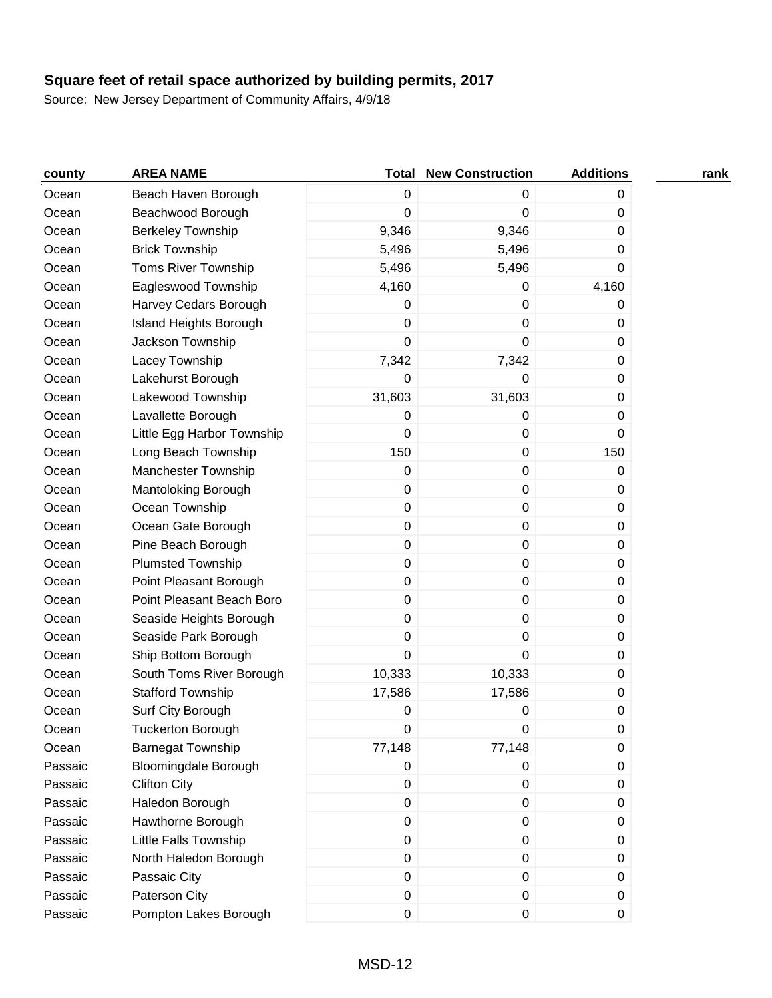| county  | <b>AREA NAME</b>              | Total       | <b>New Construction</b> | <b>Additions</b> | rank |
|---------|-------------------------------|-------------|-------------------------|------------------|------|
| Ocean   | Beach Haven Borough           | 0           | 0                       | 0                |      |
| Ocean   | Beachwood Borough             | 0           | 0                       | 0                |      |
| Ocean   | <b>Berkeley Township</b>      | 9,346       | 9,346                   | 0                |      |
| Ocean   | <b>Brick Township</b>         | 5,496       | 5,496                   | 0                |      |
| Ocean   | <b>Toms River Township</b>    | 5,496       | 5,496                   | 0                |      |
| Ocean   | Eagleswood Township           | 4,160       | 0                       | 4,160            |      |
| Ocean   | Harvey Cedars Borough         | $\mathbf 0$ | 0                       | 0                |      |
| Ocean   | <b>Island Heights Borough</b> | 0           | 0                       | 0                |      |
| Ocean   | Jackson Township              | 0           | 0                       | 0                |      |
| Ocean   | Lacey Township                | 7,342       | 7,342                   | 0                |      |
| Ocean   | Lakehurst Borough             | 0           | 0                       | 0                |      |
| Ocean   | Lakewood Township             | 31,603      | 31,603                  | 0                |      |
| Ocean   | Lavallette Borough            | $\mathbf 0$ | 0                       | 0                |      |
| Ocean   | Little Egg Harbor Township    | 0           | $\pmb{0}$               | $\Omega$         |      |
| Ocean   | Long Beach Township           | 150         | $\mathbf 0$             | 150              |      |
| Ocean   | <b>Manchester Township</b>    | $\mathbf 0$ | $\mathbf 0$             | 0                |      |
| Ocean   | Mantoloking Borough           | $\mathbf 0$ | $\pmb{0}$               | 0                |      |
| Ocean   | Ocean Township                | $\pmb{0}$   | $\pmb{0}$               | 0                |      |
| Ocean   | Ocean Gate Borough            | $\pmb{0}$   | $\pmb{0}$               | 0                |      |
| Ocean   | Pine Beach Borough            | $\pmb{0}$   | $\pmb{0}$               | 0                |      |
| Ocean   | <b>Plumsted Township</b>      | $\pmb{0}$   | $\pmb{0}$               | 0                |      |
| Ocean   | Point Pleasant Borough        | $\pmb{0}$   | 0                       | 0                |      |
| Ocean   | Point Pleasant Beach Boro     | $\pmb{0}$   | $\mathbf 0$             | 0                |      |
| Ocean   | Seaside Heights Borough       | 0           | 0                       | 0                |      |
| Ocean   | Seaside Park Borough          | 0           | 0                       | 0                |      |
| Ocean   | Ship Bottom Borough           | 0           | 0                       | 0                |      |
| Ocean   | South Toms River Borough      | 10,333      | 10,333                  | 0                |      |
| Ocean   | <b>Stafford Township</b>      | 17,586      | 17,586                  | 0                |      |
| Ocean   | Surf City Borough             | 0           | 0                       | 0                |      |
| Ocean   | <b>Tuckerton Borough</b>      | $\pmb{0}$   | $\mathbf 0$             | 0                |      |
| Ocean   | <b>Barnegat Township</b>      | 77,148      | 77,148                  | 0                |      |
| Passaic | <b>Bloomingdale Borough</b>   | $\pmb{0}$   | $\pmb{0}$               | 0                |      |
| Passaic | <b>Clifton City</b>           | 0           | $\pmb{0}$               | 0                |      |
| Passaic | Haledon Borough               | $\mathbf 0$ | 0                       | 0                |      |
| Passaic | Hawthorne Borough             | $\pmb{0}$   | $\pmb{0}$               | 0                |      |
| Passaic | Little Falls Township         | $\pmb{0}$   | $\pmb{0}$               | 0                |      |
| Passaic | North Haledon Borough         | $\pmb{0}$   | $\pmb{0}$               | 0                |      |
| Passaic | Passaic City                  | $\pmb{0}$   | $\pmb{0}$               | 0                |      |
| Passaic | Paterson City                 | $\pmb{0}$   | $\pmb{0}$               | 0                |      |
| Passaic | Pompton Lakes Borough         | $\pmb{0}$   | $\pmb{0}$               | 0                |      |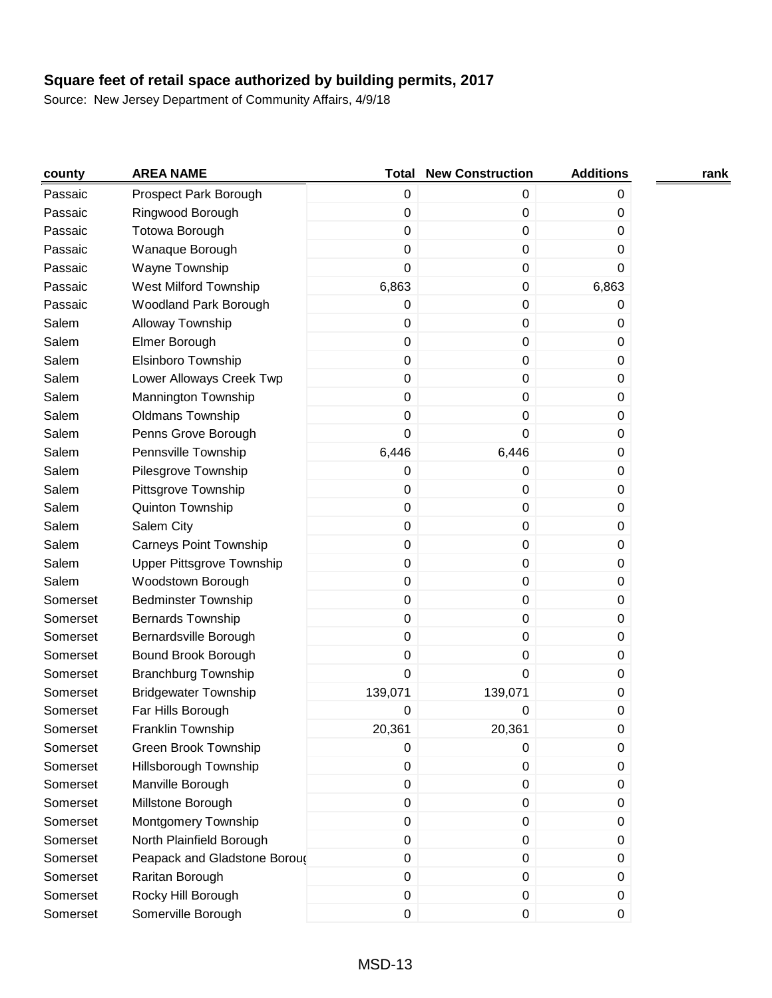| county   | <b>AREA NAME</b>              | Total       | <b>New Construction</b> | <b>Additions</b> | rank |
|----------|-------------------------------|-------------|-------------------------|------------------|------|
| Passaic  | Prospect Park Borough         | $\pmb{0}$   | 0                       | 0                |      |
| Passaic  | Ringwood Borough              | $\pmb{0}$   | 0                       | 0                |      |
| Passaic  | <b>Totowa Borough</b>         | $\pmb{0}$   | 0                       | 0                |      |
| Passaic  | Wanaque Borough               | $\pmb{0}$   | 0                       | 0                |      |
| Passaic  | Wayne Township                | $\mathbf 0$ | 0                       | 0                |      |
| Passaic  | <b>West Milford Township</b>  | 6,863       | 0                       | 6,863            |      |
| Passaic  | Woodland Park Borough         | $\mathbf 0$ | 0                       | 0                |      |
| Salem    | Alloway Township              | 0           | 0                       | 0                |      |
| Salem    | Elmer Borough                 | $\mathbf 0$ | 0                       | 0                |      |
| Salem    | Elsinboro Township            | $\pmb{0}$   | 0                       | 0                |      |
| Salem    | Lower Alloways Creek Twp      | $\pmb{0}$   | 0                       | 0                |      |
| Salem    | Mannington Township           | $\pmb{0}$   | 0                       | 0                |      |
| Salem    | <b>Oldmans Township</b>       | $\pmb{0}$   | 0                       | 0                |      |
| Salem    | Penns Grove Borough           | 0           | 0                       | 0                |      |
| Salem    | Pennsville Township           | 6,446       | 6,446                   | 0                |      |
| Salem    | Pilesgrove Township           | $\mathbf 0$ | 0                       | 0                |      |
| Salem    | Pittsgrove Township           | 0           | 0                       | 0                |      |
| Salem    | Quinton Township              | $\pmb{0}$   | 0                       | 0                |      |
| Salem    | Salem City                    | $\pmb{0}$   | 0                       | 0                |      |
| Salem    | <b>Carneys Point Township</b> | $\pmb{0}$   | $\pmb{0}$               | 0                |      |
| Salem    | Upper Pittsgrove Township     | $\pmb{0}$   | 0                       | 0                |      |
| Salem    | Woodstown Borough             | $\pmb{0}$   | 0                       | 0                |      |
| Somerset | <b>Bedminster Township</b>    | $\pmb{0}$   | 0                       | 0                |      |
| Somerset | Bernards Township             | 0           | 0                       | 0                |      |
| Somerset | Bernardsville Borough         | 0           | 0                       | 0                |      |
| Somerset | Bound Brook Borough           | 0           | 0                       | 0                |      |
| Somerset | <b>Branchburg Township</b>    | $\mathbf 0$ | 0                       | 0                |      |
| Somerset | <b>Bridgewater Township</b>   | 139,071     | 139,071                 | 0                |      |
| Somerset | Far Hills Borough             | 0           | 0                       | 0                |      |
| Somerset | Franklin Township             | 20,361      | 20,361                  | 0                |      |
| Somerset | <b>Green Brook Township</b>   | 0           | 0                       | 0                |      |
| Somerset | Hillsborough Township         | $\pmb{0}$   | 0                       | 0                |      |
| Somerset | Manville Borough              | $\mathbf 0$ | 0                       | 0                |      |
| Somerset | Millstone Borough             | $\mathbf 0$ | 0                       | 0                |      |
| Somerset | Montgomery Township           | $\pmb{0}$   | 0                       | 0                |      |
| Somerset | North Plainfield Borough      | $\pmb{0}$   | 0                       | 0                |      |
| Somerset | Peapack and Gladstone Boroug  | $\pmb{0}$   | 0                       | 0                |      |
| Somerset | Raritan Borough               | $\pmb{0}$   | 0                       | 0                |      |
| Somerset | Rocky Hill Borough            | $\pmb{0}$   | 0                       | 0                |      |
| Somerset | Somerville Borough            | $\pmb{0}$   | 0                       | 0                |      |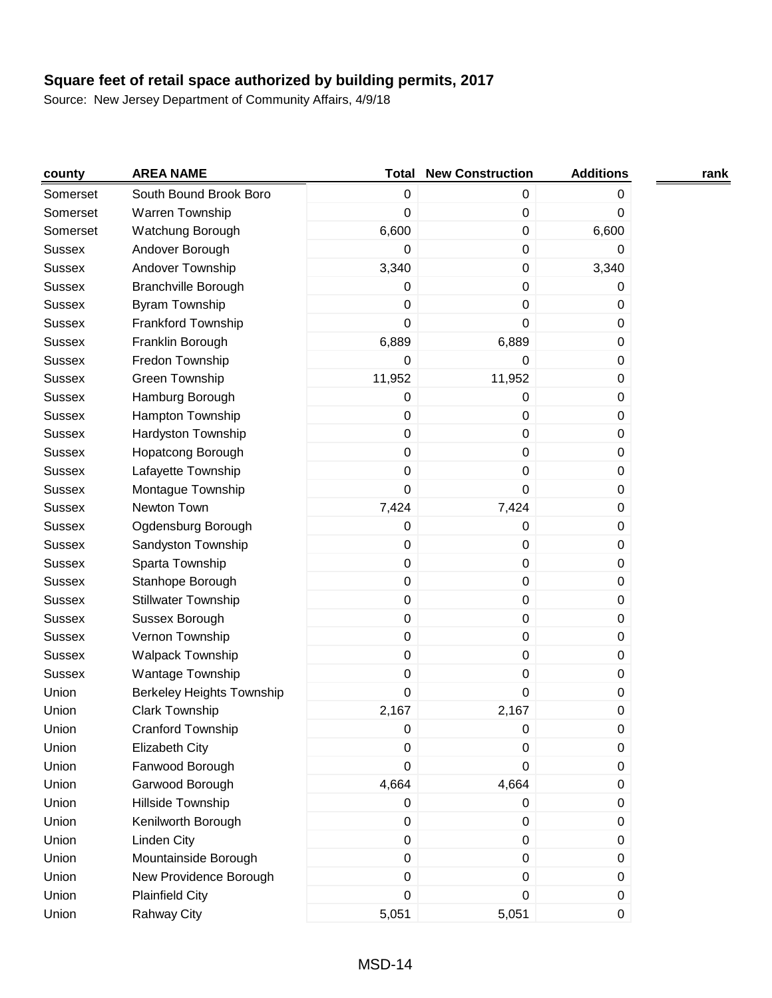| county        | <b>AREA NAME</b>           | Total            | <b>New Construction</b> | <b>Additions</b> | rank |
|---------------|----------------------------|------------------|-------------------------|------------------|------|
| Somerset      | South Bound Brook Boro     | $\pmb{0}$        | 0                       | 0                |      |
| Somerset      | Warren Township            | $\mathbf 0$      | $\pmb{0}$               | 0                |      |
| Somerset      | Watchung Borough           | 6,600            | 0                       | 6,600            |      |
| <b>Sussex</b> | Andover Borough            | 0                | 0                       | 0                |      |
| <b>Sussex</b> | Andover Township           | 3,340            | 0                       | 3,340            |      |
| <b>Sussex</b> | <b>Branchville Borough</b> | 0                | 0                       | 0                |      |
| <b>Sussex</b> | <b>Byram Township</b>      | 0                | 0                       | 0                |      |
| <b>Sussex</b> | Frankford Township         | 0                | 0                       | 0                |      |
| <b>Sussex</b> | Franklin Borough           | 6,889            | 6,889                   | 0                |      |
| <b>Sussex</b> | Fredon Township            | $\pmb{0}$        | 0                       | 0                |      |
| <b>Sussex</b> | Green Township             | 11,952           | 11,952                  | 0                |      |
| <b>Sussex</b> | Hamburg Borough            | $\pmb{0}$        | 0                       | 0                |      |
| <b>Sussex</b> | Hampton Township           | $\pmb{0}$        | 0                       | 0                |      |
| <b>Sussex</b> | Hardyston Township         | $\pmb{0}$        | 0                       | 0                |      |
| <b>Sussex</b> | Hopatcong Borough          | 0                | 0                       | 0                |      |
| <b>Sussex</b> | Lafayette Township         | 0                | 0                       | 0                |      |
| <b>Sussex</b> | Montague Township          | 0                | 0                       | 0                |      |
| <b>Sussex</b> | Newton Town                | 7,424            | 7,424                   | 0                |      |
| <b>Sussex</b> | Ogdensburg Borough         | $\pmb{0}$        | 0                       | 0                |      |
| <b>Sussex</b> | Sandyston Township         | $\pmb{0}$        | 0                       | 0                |      |
| <b>Sussex</b> | Sparta Township            | $\pmb{0}$        | 0                       | 0                |      |
| <b>Sussex</b> | Stanhope Borough           | $\pmb{0}$        | 0                       | 0                |      |
| <b>Sussex</b> | <b>Stillwater Township</b> | $\pmb{0}$        | 0                       | 0                |      |
| <b>Sussex</b> | Sussex Borough             | 0                | 0                       | 0                |      |
| <b>Sussex</b> | Vernon Township            | $\pmb{0}$        | 0                       | 0                |      |
| <b>Sussex</b> | <b>Walpack Township</b>    | $\pmb{0}$        | 0                       | 0                |      |
| <b>Sussex</b> | Wantage Township           | $\pmb{0}$        | 0                       | 0                |      |
| Union         | Berkeley Heights Township  | $\boldsymbol{0}$ | 0                       | 0                |      |
| Union         | <b>Clark Township</b>      | 2,167            | 2,167                   | 0                |      |
| Union         | Cranford Township          | $\,0\,$          | 0                       | 0                |      |
| Union         | <b>Elizabeth City</b>      | 0                | 0                       | 0                |      |
| Union         | Fanwood Borough            | $\boldsymbol{0}$ | 0                       | 0                |      |
| Union         | Garwood Borough            | 4,664            | 4,664                   | 0                |      |
| Union         | Hillside Township          | $\pmb{0}$        | 0                       | 0                |      |
| Union         | Kenilworth Borough         | $\pmb{0}$        | 0                       | 0                |      |
| Union         | <b>Linden City</b>         | $\pmb{0}$        | $\mathbf 0$             | 0                |      |
| Union         | Mountainside Borough       | $\pmb{0}$        | 0                       | 0                |      |
| Union         | New Providence Borough     | 0                | 0                       | 0                |      |
| Union         | <b>Plainfield City</b>     | $\boldsymbol{0}$ | 0                       | 0                |      |
| Union         | <b>Rahway City</b>         | 5,051            | 5,051                   | 0                |      |